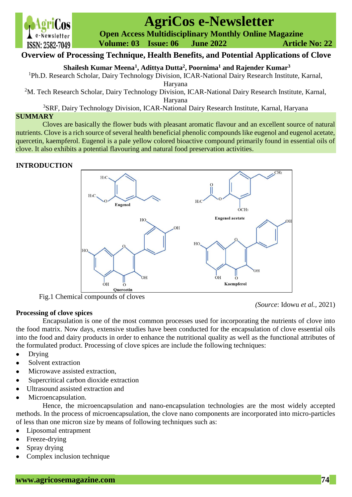

# **AgriCos e-Newsletter**

 **Open Access Multidisciplinary Monthly Online Magazine**

 **Volume: 03 Issue: 06 June 2022 Article No: 22**

# **Overview of Processing Technique, Health Benefits, and Potential Applications of Clove**

**Shailesh Kumar Meena<sup>1</sup> , Adittya Dutta<sup>2</sup> , Poornima<sup>1</sup> and Rajender Kumar<sup>3</sup>**

<sup>1</sup>Ph.D. Research Scholar, Dairy Technology Division, ICAR-National Dairy Research Institute, Karnal,

Haryana

<sup>2</sup>M. Tech Research Scholar, Dairy Technology Division, ICAR-National Dairy Research Institute, Karnal,

Haryana

<sup>3</sup>SRF, Dairy Technology Division, ICAR-National Dairy Research Institute, Karnal, Haryana

### **SUMMARY**

Cloves are basically the flower buds with pleasant aromatic flavour and an excellent source of natural nutrients. Clove is a rich source of several health beneficial phenolic compounds like eugenol and eugenol acetate, quercetin, kaempferol. Eugenol is a pale yellow colored bioactive compound primarily found in essential oils of clove. It also exhibits a potential flavouring and natural food preservation activities.

# **INTRODUCTION**



Fig.1 Chemical compounds of cloves

# **Processing of clove spices**

*(Source*: Idowu *et al.,* 2021)

Encapsulation is one of the most common processes used for incorporating the nutrients of clove into the food matrix. Now days, extensive studies have been conducted for the encapsulation of clove essential oils into the food and dairy products in order to enhance the nutritional quality as well as the functional attributes of the formulated product. Processing of clove spices are include the following techniques:

- Drving
- Solvent extraction
- Microwave assisted extraction.
- Supercritical carbon dioxide extraction
- Ultrasound assisted extraction and
- Microencapsulation.

Hence, the microencapsulation and nano-encapsulation technologies are the most widely accepted methods. In the process of microencapsulation, the clove nano components are incorporated into micro-particles of less than one micron size by means of following techniques such as:

- Liposomal entrapment
- Freeze-drying
- Spray drying
- Complex inclusion technique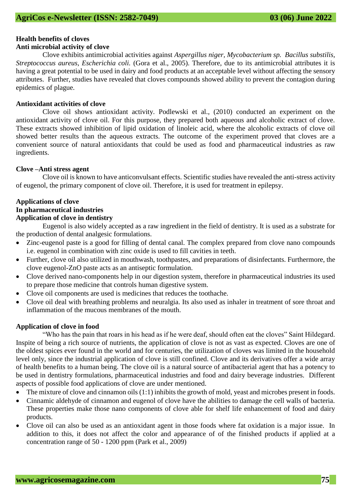# **Health benefits of cloves**

# **Anti microbial activity of clove**

Clove exhibits antimicrobial activities against *Aspergillus niger, Mycobacterium sp. Bacillus substilis, Streptococcus aureus, Escherichia coli.* (Gora et al., 2005). Therefore, due to its antimicrobial attributes it is having a great potential to be used in dairy and food products at an acceptable level without affecting the sensory attributes. Further, studies have revealed that cloves compounds showed ability to prevent the contagion during epidemics of plague.

#### **Antioxidant activities of clove**

Clove oil shows antioxidant activity. Podlewski et al., (2010) conducted an experiment on the antioxidant activity of clove oil. For this purpose, they prepared both aqueous and alcoholic extract of clove. These extracts showed inhibition of lipid oxidation of linoleic acid, where the alcoholic extracts of clove oil showed better results than the aqueous extracts. The outcome of the experiment proved that cloves are a convenient source of natural antioxidants that could be used as food and pharmaceutical industries as raw ingredients.

#### **Clove –Anti stress agent**

Clove oil is known to have anticonvulsant effects. Scientific studies have revealed the anti-stress activity of eugenol, the primary component of clove oil. Therefore, it is used for treatment in epilepsy.

#### **Applications of clove**

# **In pharmaceutical industries**

# **Application of clove in dentistry**

Eugenol is also widely accepted as a raw ingredient in the field of dentistry. It is used as a substrate for the production of dental analgesic formulations.

- Zinc-eugenol paste is a good for filling of dental canal. The complex prepared from clove nano compounds i.e. eugenol in combination with zinc oxide is used to fill cavities in teeth.
- Further, clove oil also utilized in mouthwash, toothpastes, and preparations of disinfectants. Furthermore, the clove eugenol-ZnO paste acts as an antiseptic formulation.
- Clove derived nano-components help in our digestion system, therefore in pharmaceutical industries its used to prepare those medicine that controls human digestive system.
- Clove oil components are used is medicines that reduces the toothache.
- Clove oil deal with breathing problems and neuralgia. Its also used as inhaler in treatment of sore throat and inflammation of the mucous membranes of the mouth.

#### **Application of clove in food**

"Who has the pain that roars in his head as if he were deaf, should often eat the cloves" Saint Hildegard. Inspite of being a rich source of nutrients, the application of clove is not as vast as expected. Cloves are one of the oldest spices ever found in the world and for centuries, the utilization of cloves was limited in the household level only, since the industrial application of clove is still confined. Clove and its derivatives offer a wide array of health benefits to a human being. The clove oil is a natural source of antibacterial agent that has a potency to be used in dentistry formulations, pharmaceutical industries and food and dairy beverage industries. Different aspects of possible food applications of clove are under mentioned.

- The mixture of clove and cinnamon oils (1:1) inhibits the growth of mold, yeast and microbes present in foods.
- Cinnamic aldehyde of cinnamon and eugenol of clove have the abilities to damage the cell walls of bacteria. These properties make those nano components of clove able for shelf life enhancement of food and dairy products.
- Clove oil can also be used as an antioxidant agent in those foods where fat oxidation is a major issue. In addition to this, it does not affect the color and appearance of of the finished products if applied at a concentration range of 50 - 1200 ppm (Park et al., 2009)